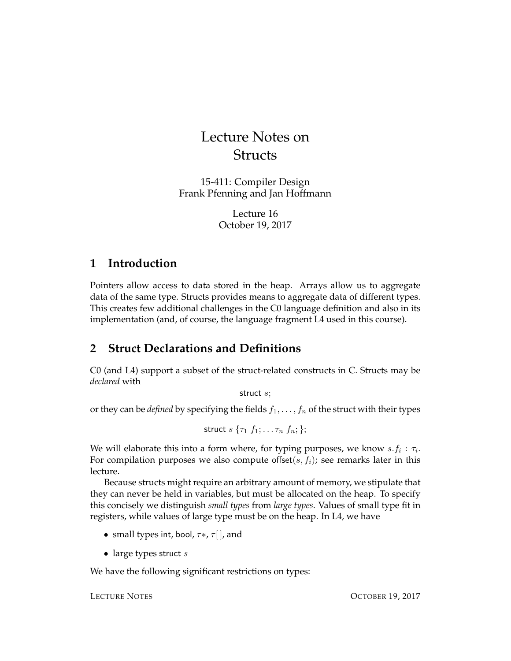# Lecture Notes on **Structs**

15-411: Compiler Design Frank Pfenning and Jan Hoffmann

> Lecture 16 October 19, 2017

## **1 Introduction**

Pointers allow access to data stored in the heap. Arrays allow us to aggregate data of the same type. Structs provides means to aggregate data of different types. This creates few additional challenges in the C0 language definition and also in its implementation (and, of course, the language fragment L4 used in this course).

# <span id="page-0-0"></span>**2 Struct Declarations and Definitions**

C0 (and L4) support a subset of the struct-related constructs in C. Structs may be *declared* with

struct s;

or they can be *defined* by specifying the fields  $f_1, \ldots, f_n$  of the struct with their types

$$
\mathsf{struct}\; s\; \{\tau_1\; f_1; \ldots \tau_n\; f_n; \};
$$

We will elaborate this into a form where, for typing purposes, we know  $s.f_i : \tau_i$ . For compilation purposes we also compute offset $(s, f_i)$ ; see remarks later in this lecture.

Because structs might require an arbitrary amount of memory, we stipulate that they can never be held in variables, but must be allocated on the heap. To specify this concisely we distinguish *small types* from *large types*. Values of small type fit in registers, while values of large type must be on the heap. In L4, we have

- small types int, bool,  $\tau^*$ ,  $\tau$ [], and
- large types struct  $s$

We have the following significant restrictions on types: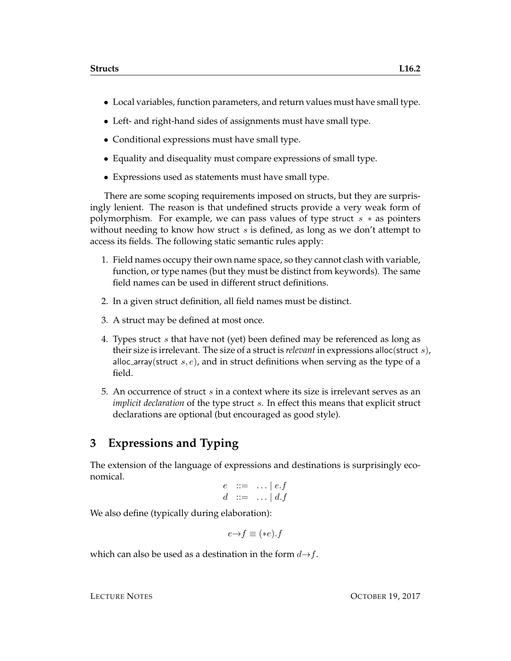- Local variables, function parameters, and return values must have small type.
- Left- and right-hand sides of assignments must have small type.
- Conditional expressions must have small type.
- Equality and disequality must compare expressions of small type.
- Expressions used as statements must have small type.

There are some scoping requirements imposed on structs, but they are surprisingly lenient. The reason is that undefined structs provide a very weak form of polymorphism. For example, we can pass values of type struct  $s * a$  pointers without needing to know how struct  $s$  is defined, as long as we don't attempt to access its fields. The following static semantic rules apply:

- 1. Field names occupy their own name space, so they cannot clash with variable, function, or type names (but they must be distinct from keywords). The same field names can be used in different struct definitions.
- 2. In a given struct definition, all field names must be distinct.
- 3. A struct may be defined at most once.
- 4. Types struct s that have not (yet) been defined may be referenced as long as their size is irrelevant. The size of a struct is *relevant* in expressions alloc(struct s), alloc\_array(struct  $s, e$ ), and in struct definitions when serving as the type of a field.
- 5. An occurrence of struct s in a context where its size is irrelevant serves as an *implicit declaration* of the type struct s. In effect this means that explicit struct declarations are optional (but encouraged as good style).

### **3 Expressions and Typing**

The extension of the language of expressions and destinations is surprisingly economical.

$$
e \quad ::= \quad \dots \mid e.f
$$
  

$$
d \quad ::= \quad \dots \mid d.f
$$

We also define (typically during elaboration):

 $e \rightarrow f \equiv (*e) \cdot f$ 

which can also be used as a destination in the form  $d \rightarrow f$ .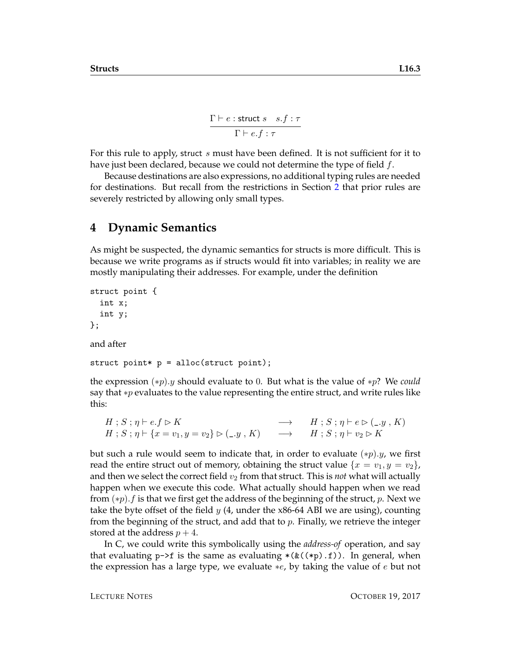$$
\frac{\Gamma \vdash e : \text{struct } s \quad s.f : \tau}{\Gamma \vdash e.f : \tau}
$$

For this rule to apply, struct s must have been defined. It is not sufficient for it to have just been declared, because we could not determine the type of field  $f$ .

Because destinations are also expressions, no additional typing rules are needed for destinations. But recall from the restrictions in Section [2](#page-0-0) that prior rules are severely restricted by allowing only small types.

#### **4 Dynamic Semantics**

As might be suspected, the dynamic semantics for structs is more difficult. This is because we write programs as if structs would fit into variables; in reality we are mostly manipulating their addresses. For example, under the definition

```
struct point {
  int x;
  int y;
};
```
and after

struct point\*  $p = \text{alloc}(\text{struct point});$ 

the expression (∗p).y should evaluate to 0. But what is the value of ∗p? We *could* say that ∗p evaluates to the value representing the entire struct, and write rules like this:

```
H; S; \eta \vdash e.f \triangleright K \longrightarrow H; S; \eta \vdash e \triangleright (\_,y, K)H; S; \eta \vdash \{x = v_1, y = v_2\} \rhd (\_, y, K) \longrightarrow H; S; \eta \vdash v_2 \rhd K
```
but such a rule would seem to indicate that, in order to evaluate  $(*p).y$ , we first read the entire struct out of memory, obtaining the struct value  $\{x = v_1, y = v_2\}$ , and then we select the correct field  $v_2$  from that struct. This is *not* what will actually happen when we execute this code. What actually should happen when we read from  $(*p)$ . f is that we first get the address of the beginning of the struct, p. Next we take the byte offset of the field y  $(4, \text{ under the x86-64 ABI}$  we are using), counting from the beginning of the struct, and add that to  $p$ . Finally, we retrieve the integer stored at the address  $p + 4$ .

In C, we could write this symbolically using the *address-of* operation, and say that evaluating  $p\rightarrow f$  is the same as evaluating  $*(\&((\ast p).f))$ . In general, when the expression has a large type, we evaluate  $*e$ , by taking the value of e but not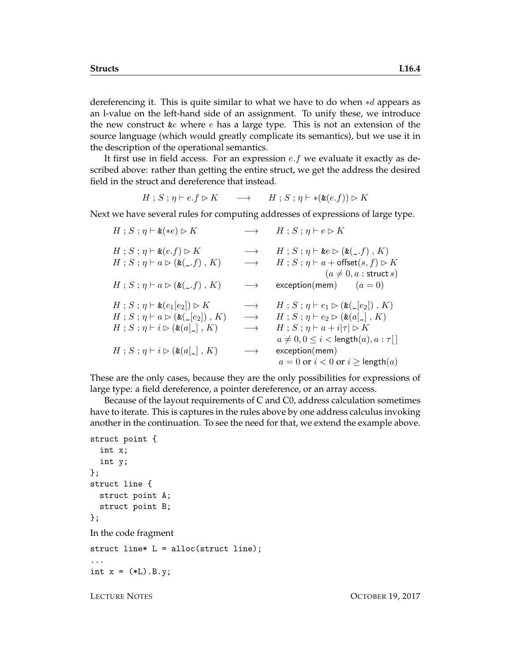dereferencing it. This is quite similar to what we have to do when ∗d appears as an l-value on the left-hand side of an assignment. To unify these, we introduce the new construct  $\&e$  where  $e$  has a large type. This is not an extension of the source language (which would greatly complicate its semantics), but we use it in the description of the operational semantics.

It first use in field access. For an expression  $e.f$  we evaluate it exactly as described above: rather than getting the entire struct, we get the address the desired field in the struct and dereference that instead.

$$
H; S; \eta \vdash e.f \rhd K \longrightarrow H; S; \eta \vdash *(*(e.f)) \rhd K
$$

Next we have several rules for computing addresses of expressions of large type.

| $H$ ; $S$ ; $\eta \vdash \&$ (*e) $\triangleright K$                                                                                                                                | $\longrightarrow$                                           | $H$ ; $S$ ; $\eta$ $\vdash$ $e \triangleright K$                                                                                                                                                                                                                                                     |
|-------------------------------------------------------------------------------------------------------------------------------------------------------------------------------------|-------------------------------------------------------------|------------------------------------------------------------------------------------------------------------------------------------------------------------------------------------------------------------------------------------------------------------------------------------------------------|
| $H$ ; $S$ ; $\eta \vdash \& (e.f) \rhd K$<br>$H$ ; $S$ ; $\eta$ $\vdash$ $a \triangleright (\& \begin{pmatrix} 0 \\ -1 \end{pmatrix}, K)$                                           | $\longrightarrow$<br>$\longrightarrow$                      | $H$ ; $S$ ; $\eta$ $\vdash$ &e $\triangleright$ (&(_.f), K)<br>$H$ ; $S$ ; $\eta$ $\vdash$ $a$ + offset $(s, f) \triangleright K$<br>$(a \neq 0, a:$ struct $s)$                                                                                                                                     |
| $H$ ; $S$ ; $\eta$ $\vdash$ $a \triangleright (\& (-, f)$ , $K)$                                                                                                                    | $\longrightarrow$                                           | $exception(mem)$ $(a = 0)$                                                                                                                                                                                                                                                                           |
| $H: S: \eta \vdash \& (e_1[e_2]) \rhd K$<br>$H$ ; $S$ ; $\eta$ $\vdash$ $a \triangleright (\& \cup [e_2])$ , $K$ )<br>$H$ ; $S$ ; $\eta$ $\vdash$ $i \triangleright (\& (a[\_], K)$ | $\longrightarrow$<br>$\longrightarrow$<br>$\longrightarrow$ | $H$ ; $S$ ; $\eta$ $\vdash$ $e_1 \triangleright (\& \begin{pmatrix} \lfloor e_2 \rfloor \end{pmatrix}, K)$<br>$H$ ; $S$ ; $\eta$ $\vdash$ $e_2 \triangleright$ (&(a[_], K)<br>$H$ ; $S$ ; $\eta$ $\vdash$ $a$ $+$ $i \tau $ $\triangleright$ $K$<br>$a \neq 0, 0 \leq i <$ length $(a), a : \tau$ [] |
| $H$ ; $S$ ; $\eta$ $\vdash$ $i \triangleright (\& (a[\_], K)$                                                                                                                       | $\longrightarrow$                                           | exception(mem)<br>$a = 0$ or $i < 0$ or $i \geq$ length $(a)$                                                                                                                                                                                                                                        |

These are the only cases, because they are the only possibilities for expressions of large type: a field dereference, a pointer dereference, or an array access.

Because of the layout requirements of C and C0, address calculation sometimes have to iterate. This is captures in the rules above by one address calculus invoking another in the continuation. To see the need for that, we extend the example above.

```
struct point {
  int x;
  int y;
};
struct line {
  struct point A;
  struct point B;
};
In the code fragment
struct line* L = alloc(struct line);
...
int x = (*L) . B . y;
```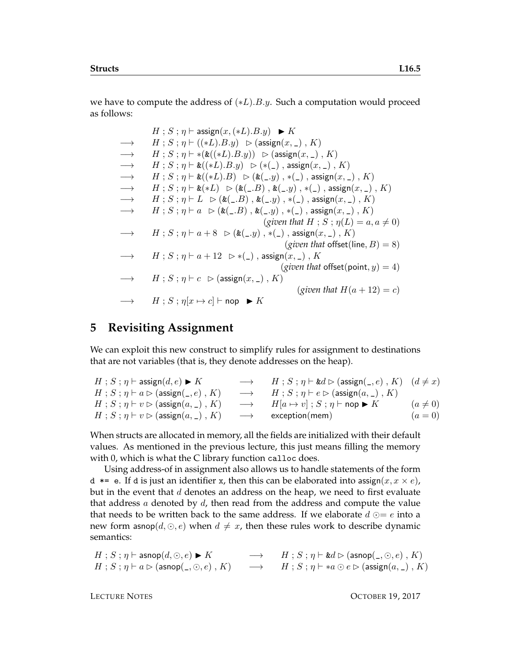we have to compute the address of  $(*L).B.y.$  Such a computation would proceed as follows:

|                   | $H$ ; $S$ ; $\eta$ $\vdash$ assign $(x, (*L).B.y) \blacktriangleright K$                         |
|-------------------|--------------------------------------------------------------------------------------------------|
| $\longrightarrow$ | $H$ ; $S$ ; $\eta$ $\vdash$ ((*L).B.y) $\vartriangleright$ (assign(x, _), K)                     |
| $\longrightarrow$ | $H: S: \eta \vdash *(*((*L).B.y)) \Rightarrow (assign(x, \_), K)$                                |
| $\longrightarrow$ | $H: S: \eta \vdash \& ((*L).B.y) \Rightarrow (*(-), \text{assign}(x, \_), K)$                    |
| $\longrightarrow$ | $H: S: \eta \vdash \& (\ast L).B) \Rightarrow (\& (\_, y), \ast (\_)$ , assign $(x, \_)$ , K)    |
| $\longrightarrow$ | $H: S: \eta \vdash \&(*L) \Rightarrow (\&(\_,B), \&(\_,y), \ast(\_),$ assign $(x, \_)$ , K)      |
| $\longrightarrow$ | $H: S: \eta \vdash L \supset (k(.B), k(.y), *(.), \text{assign}(x, .), K)$                       |
| $\longrightarrow$ | $H: S: \eta \vdash a \; \triangleright (\&(. . B) , \&(. . y) , *(.) , \text{assign}(x, \_), K)$ |
|                   | (given that H; S; $\eta(L) = a, a \neq 0$ )                                                      |
| $\longrightarrow$ | $H: S: \eta \vdash a + 8 \Rightarrow (\&(-y), *(-), \text{assign}(x, -), K)$                     |
|                   | (given that offset(line, $B$ ) = 8)                                                              |
| $\longrightarrow$ | $H : S : \eta \vdash a + 12 \Rightarrow*(-), \text{assign}(x, \_), K$                            |
|                   | ( <i>given that</i> offset( <i>point, y</i> ) = 4)                                               |
| $\longrightarrow$ | $H$ ; $S$ ; $\eta \vdash c \geq (\text{assign}(x, \_), K)$                                       |
|                   | (given that $H(a+12)=c$ )                                                                        |
|                   | $\longrightarrow$ $H$ ; $S$ ; $\eta[x \mapsto c]$ $\vdash$ nop $\blacktriangleright K$           |

#### **5 Revisiting Assignment**

We can exploit this new construct to simplify rules for assignment to destinations that are not variables (that is, they denote addresses on the heap).

| $H$ ; $S$ ; $\eta$ $\vdash$ assign $(d, e) \blacktriangleright K$     | $\rightarrow$ $H$ ; $S$ ; $\eta \vdash \&d \rhd (\text{assign}(\_,e)$ , $K)$ $(d \neq x)$ |              |
|-----------------------------------------------------------------------|-------------------------------------------------------------------------------------------|--------------|
| $H$ ; $S$ ; $\eta \vdash a \triangleright (\text{assign}(\_, e) , K)$ | $\longrightarrow$ $H$ ; $S$ ; $\eta \vdash e \triangleright (\text{assign}(a, \_), K)$    |              |
| $H$ ; $S$ ; $\eta \vdash v \triangleright$ (assign $(a, \_)$ , $K$ )  | $\longrightarrow$ $H[a \mapsto v]$ ; $S$ ; $\eta \vdash$ nop $\blacktriangleright K$      | $(a \neq 0)$ |
| $H$ ; $S$ ; $\eta \vdash v \triangleright$ (assign $(a, \_)$ , $K$ )  | $\longrightarrow$ exception(mem)                                                          | $(a = 0)$    |

When structs are allocated in memory, all the fields are initialized with their default values. As mentioned in the previous lecture, this just means filling the memory with 0, which is what the C library function calloc does.

Using address-of in assignment also allows us to handle statements of the form d  $*=$  e. If d is just an identifier x, then this can be elaborated into assign( $x, x \times e$ ), but in the event that  $d$  denotes an address on the heap, we need to first evaluate that address  $a$  denoted by  $d$ , then read from the address and compute the value that needs to be written back to the same address. If we elaborate  $d \odot = e$  into a new form asnop $(d, \odot, e)$  when  $d \neq x$ , then these rules work to describe dynamic semantics:

 $H : S : \eta \vdash \textsf{asnop}(d, \odot, e) \blacktriangleright K$   $\longrightarrow$   $H : S : \eta \vdash \textsf{&} d \triangleright (\textsf{asnop}(\_, \odot, e), K)$  $H : S : \eta \vdash a \rhd (\textsf{asnop}(\_, \odot, e) , K) \longrightarrow H : S : \eta \vdash *a \odot e \rhd (\textsf{assign}(a, \_) , K)$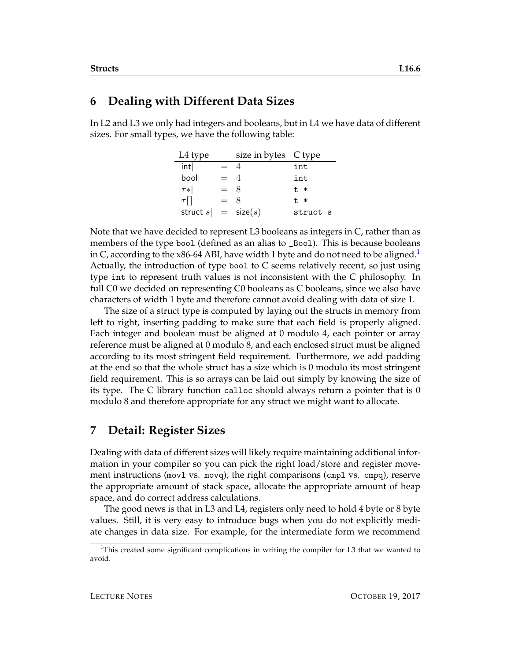#### **6 Dealing with Different Data Sizes**

In L2 and L3 we only had integers and booleans, but in L4 we have data of different sizes. For small types, we have the following table:

| L4 type                   |       | size in bytes C type |          |
|---------------------------|-------|----------------------|----------|
| int                       | $= 4$ |                      | int      |
| bool                      | $= 4$ |                      | int      |
| $ \tau* $                 | $=$ 8 |                      | $t$ $*$  |
| $ \tau$ []                | $= 8$ |                      | $t$ $*$  |
| $ $ struct $s  =$ size(s) |       |                      | struct s |

Note that we have decided to represent L3 booleans as integers in C, rather than as members of the type bool (defined as an alias to \_Bool). This is because booleans in C, according to the x86-64 ABI, have width [1](#page-5-0) byte and do not need to be aligned.<sup>1</sup> Actually, the introduction of type bool to C seems relatively recent, so just using type int to represent truth values is not inconsistent with the C philosophy. In full C0 we decided on representing C0 booleans as C booleans, since we also have characters of width 1 byte and therefore cannot avoid dealing with data of size 1.

The size of a struct type is computed by laying out the structs in memory from left to right, inserting padding to make sure that each field is properly aligned. Each integer and boolean must be aligned at 0 modulo 4, each pointer or array reference must be aligned at 0 modulo 8, and each enclosed struct must be aligned according to its most stringent field requirement. Furthermore, we add padding at the end so that the whole struct has a size which is 0 modulo its most stringent field requirement. This is so arrays can be laid out simply by knowing the size of its type. The C library function calloc should always return a pointer that is 0 modulo 8 and therefore appropriate for any struct we might want to allocate.

# **7 Detail: Register Sizes**

Dealing with data of different sizes will likely require maintaining additional information in your compiler so you can pick the right load/store and register movement instructions (movl vs. movq), the right comparisons (cmpl vs. cmpq), reserve the appropriate amount of stack space, allocate the appropriate amount of heap space, and do correct address calculations.

The good news is that in L3 and L4, registers only need to hold 4 byte or 8 byte values. Still, it is very easy to introduce bugs when you do not explicitly mediate changes in data size. For example, for the intermediate form we recommend

<span id="page-5-0"></span> $1$ This created some significant complications in writing the compiler for L3 that we wanted to avoid.